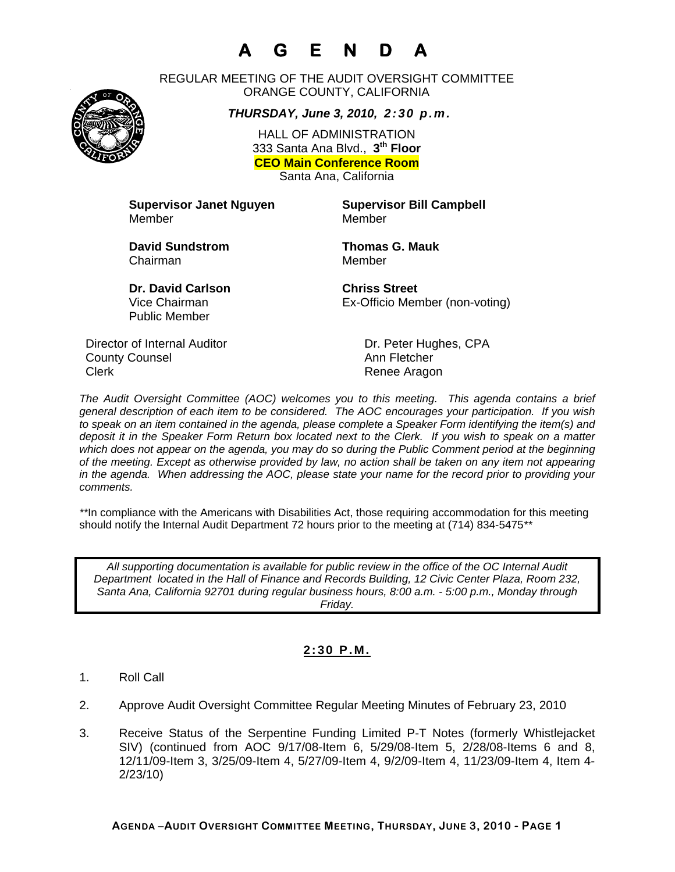# **A G E N D A**



REGULAR MEETING OF THE AUDIT OVERSIGHT COMMITTEE ORANGE COUNTY, CALIFORNIA

*THURSDAY, June 3, 2010, 2:30 p.m.*

HALL OF ADMINISTRATION 333 Santa Ana Blvd., **3th Floor CEO Main Conference Room**  Santa Ana, California

**Supervisor Janet Nguyen Supervisor Bill Campbell** Member Member

**David Sundstrom Thomas G. Mauk**  Chairman Member

**Dr. David Carlson Chriss Street** Vice Chairman Ex-Officio Member (non-voting)

Director of Internal Auditor Dr. Peter Hughes, CPA **County Counsel Countillist County Counsel Ann Fletcher** Clerk **Clerk** Renee Aragon

Public Member

*The Audit Oversight Committee (AOC) welcomes you to this meeting. This agenda contains a brief general description of each item to be considered. The AOC encourages your participation. If you wish to speak on an item contained in the agenda, please complete a Speaker Form identifying the item(s) and deposit it in the Speaker Form Return box located next to the Clerk. If you wish to speak on a matter which does not appear on the agenda, you may do so during the Public Comment period at the beginning of the meeting. Except as otherwise provided by law, no action shall be taken on any item not appearing in the agenda. When addressing the AOC, please state your name for the record prior to providing your comments.* 

*\*\**In compliance with the Americans with Disabilities Act, those requiring accommodation for this meeting should notify the Internal Audit Department 72 hours prior to the meeting at (714) 834-5475*\*\** 

*All supporting documentation is available for public review in the office of the OC Internal Audit Department located in the Hall of Finance and Records Building, 12 Civic Center Plaza, Room 232, Santa Ana, California 92701 during regular business hours, 8:00 a.m. - 5:00 p.m., Monday through Friday.* 

### **2:30 P.M.**

- 1. Roll Call
- 2. Approve Audit Oversight Committee Regular Meeting Minutes of February 23, 2010
- 3. Receive Status of the Serpentine Funding Limited P-T Notes (formerly Whistlejacket SIV) (continued from AOC 9/17/08-Item 6, 5/29/08-Item 5, 2/28/08-Items 6 and 8, 12/11/09-Item 3, 3/25/09-Item 4, 5/27/09-Item 4, 9/2/09-Item 4, 11/23/09-Item 4, Item 4- 2/23/10)